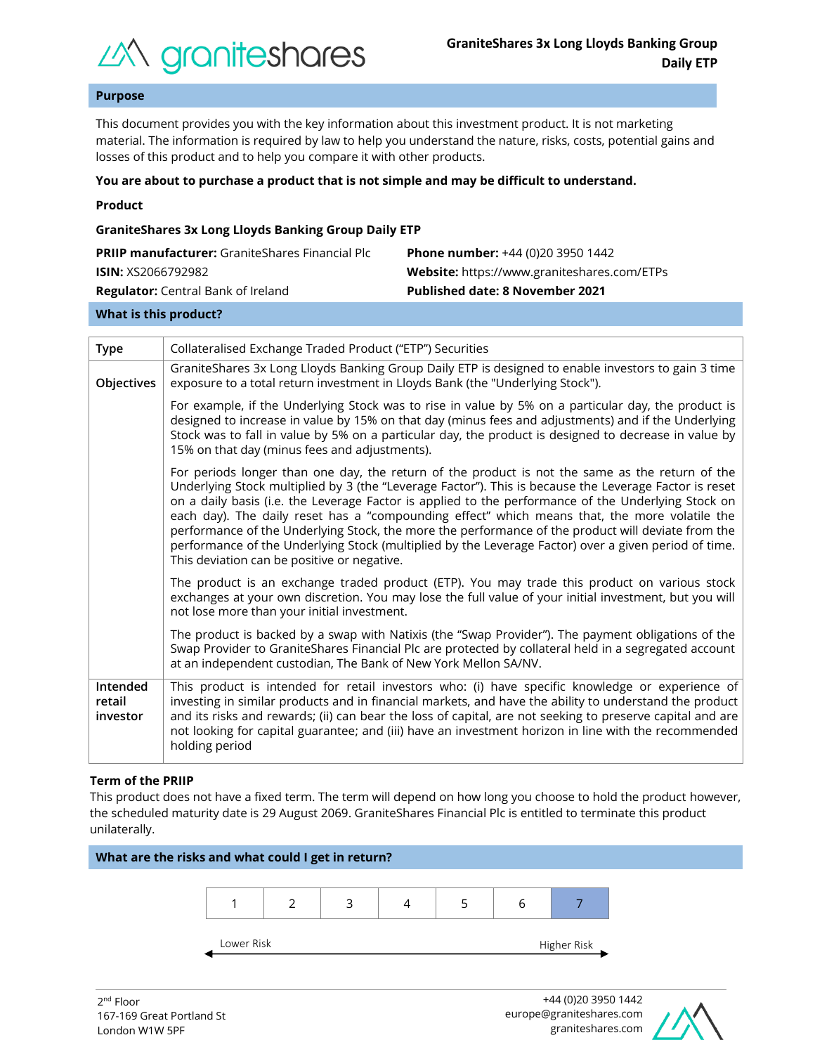

**Key Information Document**

# **Purpose**

This document provides you with the key information about this investment product. It is not marketing material. The information is required by law to help you understand the nature, risks, costs, potential gains and losses of this product and to help you compare it with other products.

### **You are about to purchase a product that is not simple and may be difficult to understand.**

### **Product**

## **GraniteShares 3x Long Lloyds Banking Group Daily ETP**

| <b>PRIIP manufacturer:</b> GraniteShares Financial Plc | <b>Phone number:</b> +44 (0)20 3950 1442           |
|--------------------------------------------------------|----------------------------------------------------|
| <b>ISIN:</b> XS2066792982                              | <b>Website:</b> https://www.graniteshares.com/ETPs |
| <b>Regulator:</b> Central Bank of Ireland              | <b>Published date: 8 November 2021</b>             |
|                                                        |                                                    |

#### **What is this product?**

| <b>Type</b>                    | Collateralised Exchange Traded Product ("ETP") Securities                                                                                                                                                                                                                                                                                                                                                                                                                                                                                                                                                                                                                      |  |  |
|--------------------------------|--------------------------------------------------------------------------------------------------------------------------------------------------------------------------------------------------------------------------------------------------------------------------------------------------------------------------------------------------------------------------------------------------------------------------------------------------------------------------------------------------------------------------------------------------------------------------------------------------------------------------------------------------------------------------------|--|--|
| Objectives                     | GraniteShares 3x Long Lloyds Banking Group Daily ETP is designed to enable investors to gain 3 time<br>exposure to a total return investment in Lloyds Bank (the "Underlying Stock").                                                                                                                                                                                                                                                                                                                                                                                                                                                                                          |  |  |
|                                | For example, if the Underlying Stock was to rise in value by 5% on a particular day, the product is<br>designed to increase in value by 15% on that day (minus fees and adjustments) and if the Underlying<br>Stock was to fall in value by 5% on a particular day, the product is designed to decrease in value by<br>15% on that day (minus fees and adjustments).                                                                                                                                                                                                                                                                                                           |  |  |
|                                | For periods longer than one day, the return of the product is not the same as the return of the<br>Underlying Stock multiplied by 3 (the "Leverage Factor"). This is because the Leverage Factor is reset<br>on a daily basis (i.e. the Leverage Factor is applied to the performance of the Underlying Stock on<br>each day). The daily reset has a "compounding effect" which means that, the more volatile the<br>performance of the Underlying Stock, the more the performance of the product will deviate from the<br>performance of the Underlying Stock (multiplied by the Leverage Factor) over a given period of time.<br>This deviation can be positive or negative. |  |  |
|                                | The product is an exchange traded product (ETP). You may trade this product on various stock<br>exchanges at your own discretion. You may lose the full value of your initial investment, but you will<br>not lose more than your initial investment.                                                                                                                                                                                                                                                                                                                                                                                                                          |  |  |
|                                | The product is backed by a swap with Natixis (the "Swap Provider"). The payment obligations of the<br>Swap Provider to GraniteShares Financial Plc are protected by collateral held in a segregated account<br>at an independent custodian, The Bank of New York Mellon SA/NV.                                                                                                                                                                                                                                                                                                                                                                                                 |  |  |
| Intended<br>retail<br>investor | This product is intended for retail investors who: (i) have specific knowledge or experience of<br>investing in similar products and in financial markets, and have the ability to understand the product<br>and its risks and rewards; (ii) can bear the loss of capital, are not seeking to preserve capital and are<br>not looking for capital guarantee; and (iii) have an investment horizon in line with the recommended<br>holding period                                                                                                                                                                                                                               |  |  |

# **Term of the PRIIP**

This product does not have a fixed term. The term will depend on how long you choose to hold the product however, the scheduled maturity date is 29 August 2069. GraniteShares Financial Plc is entitled to terminate this product unilaterally.



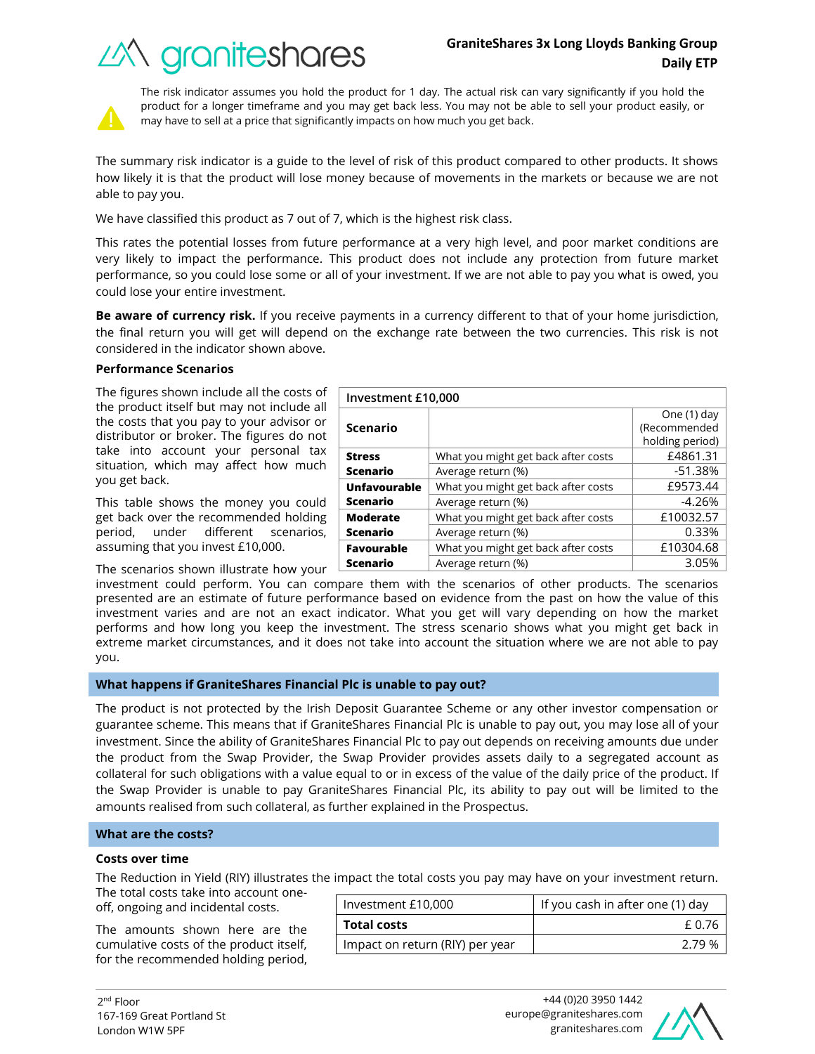



The risk indicator assumes you hold the product for 1 day. The actual risk can vary significantly if you hold the product for a longer timeframe and you may get back less. You may not be able to sell your product easily, or may have to sell at a price that significantly impacts on how much you get back.

The summary risk indicator is a guide to the level of risk of this product compared to other products. It shows how likely it is that the product will lose money because of movements in the markets or because we are not able to pay you.

We have classified this product as 7 out of 7, which is the highest risk class.

This rates the potential losses from future performance at a very high level, and poor market conditions are very likely to impact the performance. This product does not include any protection from future market performance, so you could lose some or all of your investment. If we are not able to pay you what is owed, you could lose your entire investment.

**Be aware of currency risk.** If you receive payments in a currency different to that of your home jurisdiction, the final return you will get will depend on the exchange rate between the two currencies. This risk is not considered in the indicator shown above.

**Investment £10,000**

**Scenario**

# **Performance Scenarios**

The figures shown include all the costs of the product itself but may not include all the costs that you pay to your advisor or distributor or broker. The figures do not take into account your persona situation, which may affect how you get back.

This table shows the money you get back over the recommended h period, under different scer assuming that you invest £10,000.

The scenarios shown illustrate hov

| uu nut                                                               |                     |                                     | holding period) |
|----------------------------------------------------------------------|---------------------|-------------------------------------|-----------------|
| al<br>tax                                                            | <b>Stress</b>       | What you might get back after costs | £4861.31        |
| much                                                                 | Scenario            | Average return (%)                  | $-51.38%$       |
|                                                                      | <b>Unfavourable</b> | What you might get back after costs | £9573.44        |
| could                                                                | Scenario            | Average return (%)                  | $-4.26%$        |
| iolding                                                              | <b>Moderate</b>     | What you might get back after costs | £10032.57       |
| narios,                                                              | Scenario            | Average return (%)                  | 0.33%           |
| <b>Favourable</b>                                                    |                     | What you might get back after costs | £10304.68       |
| w your                                                               | Scenario            | Average return (%)                  | 3.05%           |
| can compare them with the scenarios of other products. The scenarios |                     |                                     |                 |

investment could perform. You ca presented are an estimate of future performance based on evidence from the past on how the value of this investment varies and are not an exact indicator. What you get will vary depending on how the market performs and how long you keep the investment. The stress scenario shows what you might get back in extreme market circumstances, and it does not take into account the situation where we are not able to pay you.

# **What happens if GraniteShares Financial Plc is unable to pay out?**

The product is not protected by the Irish Deposit Guarantee Scheme or any other investor compensation or guarantee scheme. This means that if GraniteShares Financial Plc is unable to pay out, you may lose all of your investment. Since the ability of GraniteShares Financial Plc to pay out depends on receiving amounts due under the product from the Swap Provider, the Swap Provider provides assets daily to a segregated account as collateral for such obligations with a value equal to or in excess of the value of the daily price of the product. If the Swap Provider is unable to pay GraniteShares Financial Plc, its ability to pay out will be limited to the amounts realised from such collateral, as further explained in the Prospectus.

# **What are the costs?**

#### **Costs over time**

The Reduction in Yield (RIY) illustrates the impact the total costs you pay may have on your investment return.

The total costs take into account oneoff, ongoing and incidental costs.

The amounts shown here are the cumulative costs of the product itself, for the recommended holding period,

| Investment £10,000              | If you cash in after one (1) day |  |
|---------------------------------|----------------------------------|--|
| <b>Total costs</b>              | £ 0.76                           |  |
| Impact on return (RIY) per year | 2.79 %                           |  |



One (1) day (Recommended